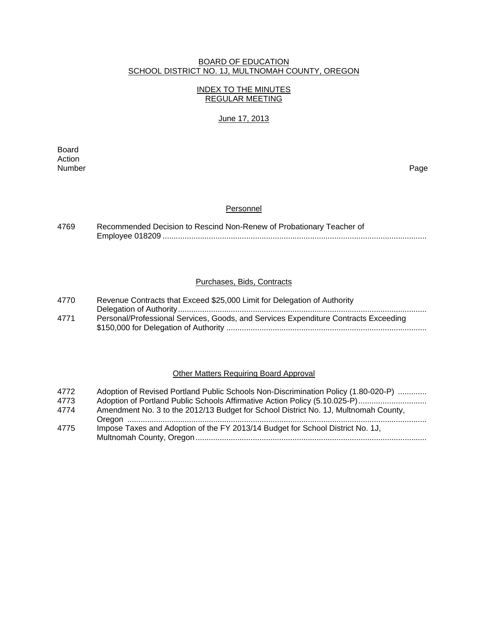### BOARD OF EDUCATION SCHOOL DISTRICT NO. 1J, MULTNOMAH COUNTY, OREGON

# INDEX TO THE MINUTES REGULAR MEETING

# June 17, 2013

**Board Board** Action<br>Number Number Page

#### **Personnel**

| 4769 | Recommended Decision to Rescind Non-Renew of Probationary Teacher of |
|------|----------------------------------------------------------------------|
|      |                                                                      |

### Purchases, Bids, Contracts

| 4770 | Revenue Contracts that Exceed \$25,000 Limit for Delegation of Authority            |
|------|-------------------------------------------------------------------------------------|
|      |                                                                                     |
| 4771 | Personal/Professional Services, Goods, and Services Expenditure Contracts Exceeding |
|      |                                                                                     |

# **Other Matters Requiring Board Approval**

| 4772<br>4773 | Adoption of Revised Portland Public Schools Non-Discrimination Policy (1.80-020-P)<br>Adoption of Portland Public Schools Affirmative Action Policy (5.10.025-P) |
|--------------|------------------------------------------------------------------------------------------------------------------------------------------------------------------|
| 4774         | Amendment No. 3 to the 2012/13 Budget for School District No. 1J, Multnomah County,                                                                              |
| 4775         | Impose Taxes and Adoption of the FY 2013/14 Budget for School District No. 1J,                                                                                   |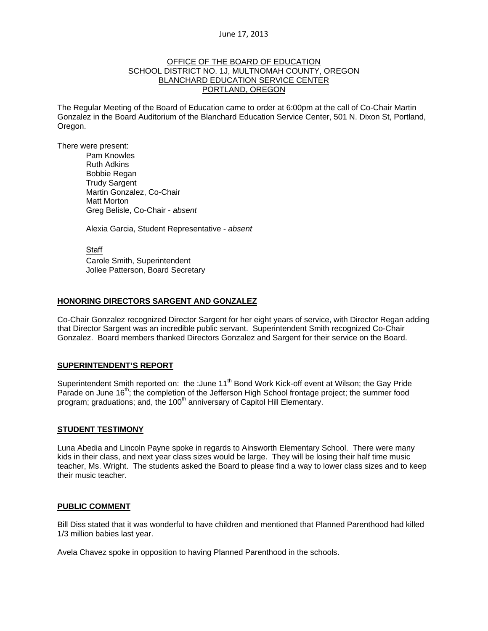#### OFFICE OF THE BOARD OF EDUCATION SCHOOL DISTRICT NO. 1J, MULTNOMAH COUNTY, OREGON BLANCHARD EDUCATION SERVICE CENTER PORTLAND, OREGON

The Regular Meeting of the Board of Education came to order at 6:00pm at the call of Co-Chair Martin Gonzalez in the Board Auditorium of the Blanchard Education Service Center, 501 N. Dixon St, Portland, Oregon.

There were present: Pam Knowles

Ruth Adkins Bobbie Regan Trudy Sargent Martin Gonzalez, Co-Chair Matt Morton Greg Belisle, Co-Chair - *absent* 

Alexia Garcia, Student Representative - *absent* 

Staff Carole Smith, Superintendent Jollee Patterson, Board Secretary

### **HONORING DIRECTORS SARGENT AND GONZALEZ**

Co-Chair Gonzalez recognized Director Sargent for her eight years of service, with Director Regan adding that Director Sargent was an incredible public servant. Superintendent Smith recognized Co-Chair Gonzalez. Board members thanked Directors Gonzalez and Sargent for their service on the Board.

#### **SUPERINTENDENT'S REPORT**

Superintendent Smith reported on: the :June 11<sup>th</sup> Bond Work Kick-off event at Wilson; the Gay Pride Parade on June 16<sup>th</sup>; the completion of the Jefferson High School frontage project; the summer food program; graduations; and, the  $100<sup>th</sup>$  anniversary of Capitol Hill Elementary.

#### **STUDENT TESTIMONY**

Luna Abedia and Lincoln Payne spoke in regards to Ainsworth Elementary School. There were many kids in their class, and next year class sizes would be large. They will be losing their half time music teacher, Ms. Wright. The students asked the Board to please find a way to lower class sizes and to keep their music teacher.

#### **PUBLIC COMMENT**

Bill Diss stated that it was wonderful to have children and mentioned that Planned Parenthood had killed 1/3 million babies last year.

Avela Chavez spoke in opposition to having Planned Parenthood in the schools.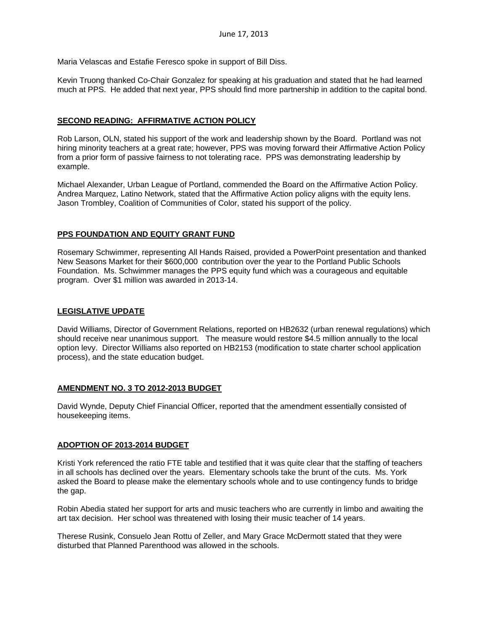Maria Velascas and Estafie Feresco spoke in support of Bill Diss.

Kevin Truong thanked Co-Chair Gonzalez for speaking at his graduation and stated that he had learned much at PPS. He added that next year, PPS should find more partnership in addition to the capital bond.

### **SECOND READING: AFFIRMATIVE ACTION POLICY**

Rob Larson, OLN, stated his support of the work and leadership shown by the Board. Portland was not hiring minority teachers at a great rate; however, PPS was moving forward their Affirmative Action Policy from a prior form of passive fairness to not tolerating race. PPS was demonstrating leadership by example.

Michael Alexander, Urban League of Portland, commended the Board on the Affirmative Action Policy. Andrea Marquez, Latino Network, stated that the Affirmative Action policy aligns with the equity lens. Jason Trombley, Coalition of Communities of Color, stated his support of the policy.

### **PPS FOUNDATION AND EQUITY GRANT FUND**

Rosemary Schwimmer, representing All Hands Raised, provided a PowerPoint presentation and thanked New Seasons Market for their \$600,000 contribution over the year to the Portland Public Schools Foundation. Ms. Schwimmer manages the PPS equity fund which was a courageous and equitable program. Over \$1 million was awarded in 2013-14.

#### **LEGISLATIVE UPDATE**

David Williams, Director of Government Relations, reported on HB2632 (urban renewal regulations) which should receive near unanimous support. The measure would restore \$4.5 million annually to the local option levy. Director Williams also reported on HB2153 (modification to state charter school application process), and the state education budget.

#### **AMENDMENT NO. 3 TO 2012-2013 BUDGET**

David Wynde, Deputy Chief Financial Officer, reported that the amendment essentially consisted of housekeeping items.

#### **ADOPTION OF 2013-2014 BUDGET**

Kristi York referenced the ratio FTE table and testified that it was quite clear that the staffing of teachers in all schools has declined over the years. Elementary schools take the brunt of the cuts. Ms. York asked the Board to please make the elementary schools whole and to use contingency funds to bridge the gap.

Robin Abedia stated her support for arts and music teachers who are currently in limbo and awaiting the art tax decision. Her school was threatened with losing their music teacher of 14 years.

Therese Rusink, Consuelo Jean Rottu of Zeller, and Mary Grace McDermott stated that they were disturbed that Planned Parenthood was allowed in the schools.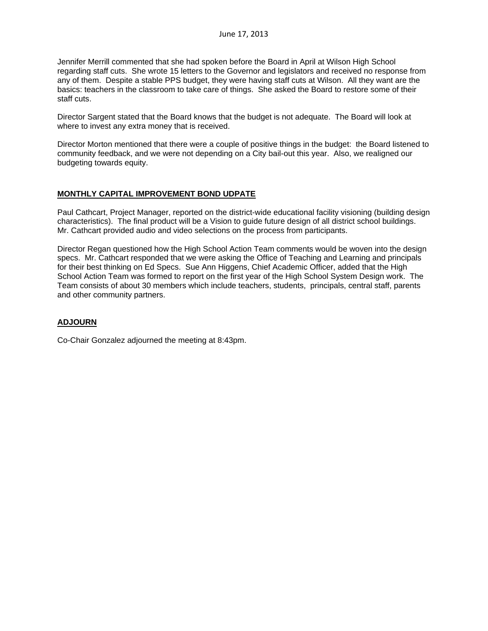Jennifer Merrill commented that she had spoken before the Board in April at Wilson High School regarding staff cuts. She wrote 15 letters to the Governor and legislators and received no response from any of them. Despite a stable PPS budget, they were having staff cuts at Wilson. All they want are the basics: teachers in the classroom to take care of things. She asked the Board to restore some of their staff cuts.

Director Sargent stated that the Board knows that the budget is not adequate. The Board will look at where to invest any extra money that is received.

Director Morton mentioned that there were a couple of positive things in the budget: the Board listened to community feedback, and we were not depending on a City bail-out this year. Also, we realigned our budgeting towards equity.

### **MONTHLY CAPITAL IMPROVEMENT BOND UDPATE**

Paul Cathcart, Project Manager, reported on the district-wide educational facility visioning (building design characteristics). The final product will be a Vision to guide future design of all district school buildings. Mr. Cathcart provided audio and video selections on the process from participants.

Director Regan questioned how the High School Action Team comments would be woven into the design specs. Mr. Cathcart responded that we were asking the Office of Teaching and Learning and principals for their best thinking on Ed Specs. Sue Ann Higgens, Chief Academic Officer, added that the High School Action Team was formed to report on the first year of the High School System Design work. The Team consists of about 30 members which include teachers, students, principals, central staff, parents and other community partners.

# **ADJOURN**

Co-Chair Gonzalez adjourned the meeting at 8:43pm.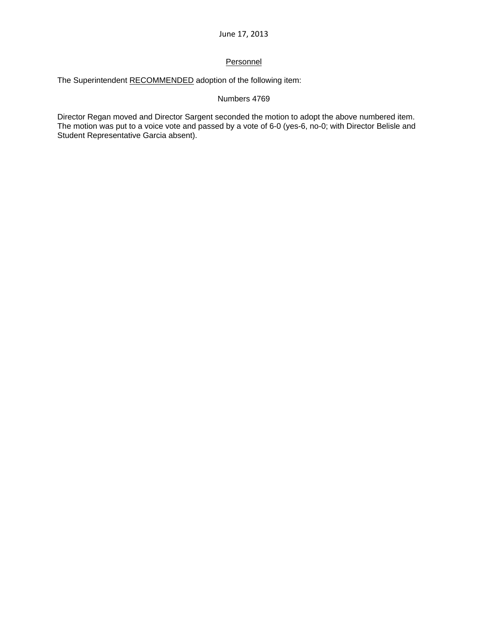# **Personnel**

The Superintendent RECOMMENDED adoption of the following item:

# Numbers 4769

Director Regan moved and Director Sargent seconded the motion to adopt the above numbered item. The motion was put to a voice vote and passed by a vote of 6-0 (yes-6, no-0; with Director Belisle and Student Representative Garcia absent).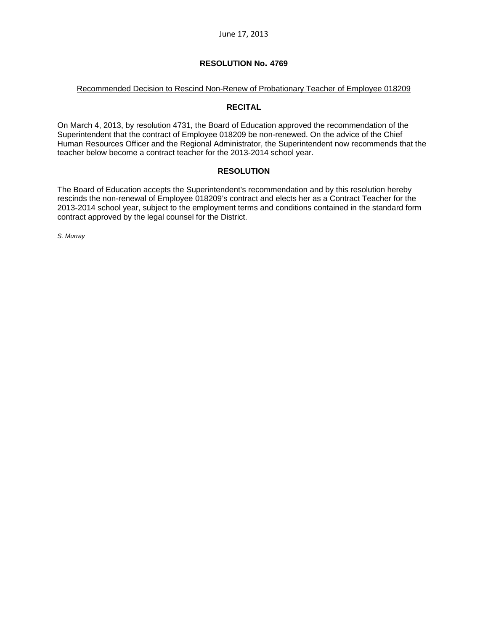#### Recommended Decision to Rescind Non-Renew of Probationary Teacher of Employee 018209

### **RECITAL**

On March 4, 2013, by resolution 4731, the Board of Education approved the recommendation of the Superintendent that the contract of Employee 018209 be non-renewed. On the advice of the Chief Human Resources Officer and the Regional Administrator, the Superintendent now recommends that the teacher below become a contract teacher for the 2013-2014 school year.

# **RESOLUTION**

The Board of Education accepts the Superintendent's recommendation and by this resolution hereby rescinds the non-renewal of Employee 018209's contract and elects her as a Contract Teacher for the 2013-2014 school year, subject to the employment terms and conditions contained in the standard form contract approved by the legal counsel for the District.

*S. Murray*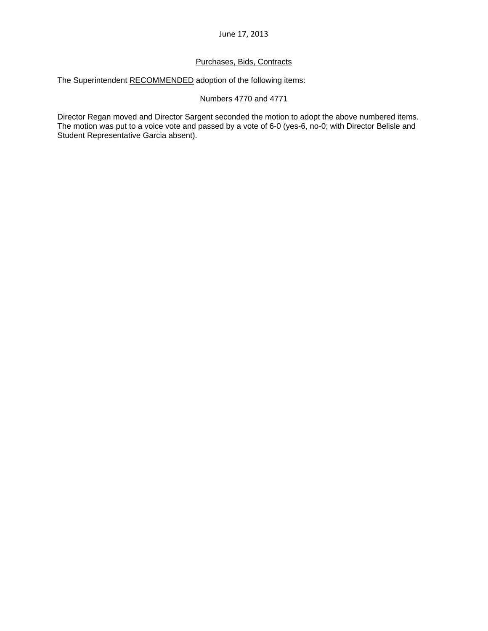# Purchases, Bids, Contracts

The Superintendent RECOMMENDED adoption of the following items:

Numbers 4770 and 4771

Director Regan moved and Director Sargent seconded the motion to adopt the above numbered items. The motion was put to a voice vote and passed by a vote of 6-0 (yes-6, no-0; with Director Belisle and Student Representative Garcia absent).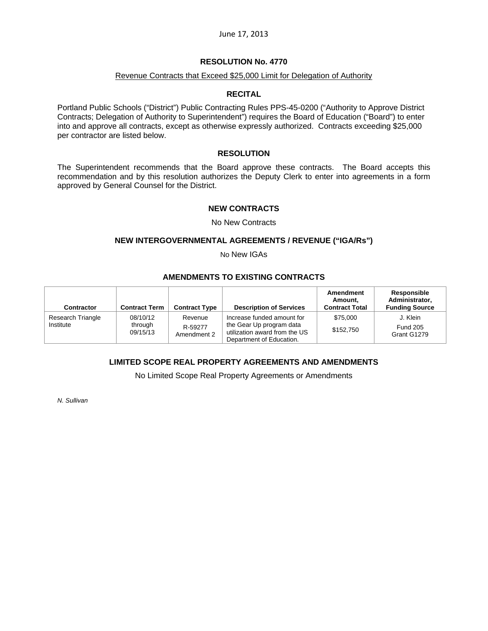# **RESOLUTION No. 4770**

### Revenue Contracts that Exceed \$25,000 Limit for Delegation of Authority

#### **RECITAL**

Portland Public Schools ("District") Public Contracting Rules PPS-45-0200 ("Authority to Approve District Contracts; Delegation of Authority to Superintendent") requires the Board of Education ("Board") to enter into and approve all contracts, except as otherwise expressly authorized. Contracts exceeding \$25,000 per contractor are listed below.

### **RESOLUTION**

The Superintendent recommends that the Board approve these contracts. The Board accepts this recommendation and by this resolution authorizes the Deputy Clerk to enter into agreements in a form approved by General Counsel for the District.

#### **NEW CONTRACTS**

#### No New Contracts

#### **NEW INTERGOVERNMENTAL AGREEMENTS / REVENUE ("IGA/Rs")**

No New IGAs

# **AMENDMENTS TO EXISTING CONTRACTS**

| Contractor                     | <b>Contract Term</b>            | <b>Contract Type</b>              | <b>Description of Services</b>                                                                                      | Amendment<br>Amount.<br><b>Contract Total</b> | Responsible<br>Administrator.<br><b>Funding Source</b> |
|--------------------------------|---------------------------------|-----------------------------------|---------------------------------------------------------------------------------------------------------------------|-----------------------------------------------|--------------------------------------------------------|
| Research Triangle<br>Institute | 08/10/12<br>through<br>09/15/13 | Revenue<br>R-59277<br>Amendment 2 | Increase funded amount for<br>the Gear Up program data<br>utilization award from the US<br>Department of Education. | \$75,000<br>\$152,750                         | J. Klein<br><b>Fund 205</b><br>Grant G1279             |

# **LIMITED SCOPE REAL PROPERTY AGREEMENTS AND AMENDMENTS**

No Limited Scope Real Property Agreements or Amendments

*N. Sullivan*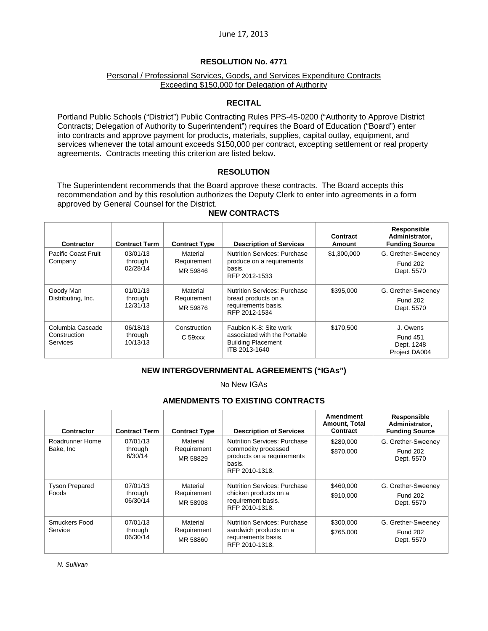### Personal / Professional Services, Goods, and Services Expenditure Contracts Exceeding \$150,000 for Delegation of Authority

### **RECITAL**

Portland Public Schools ("District") Public Contracting Rules PPS-45-0200 ("Authority to Approve District Contracts; Delegation of Authority to Superintendent") requires the Board of Education ("Board") enter into contracts and approve payment for products, materials, supplies, capital outlay, equipment, and services whenever the total amount exceeds \$150,000 per contract, excepting settlement or real property agreements. Contracts meeting this criterion are listed below.

### **RESOLUTION**

The Superintendent recommends that the Board approve these contracts. The Board accepts this recommendation and by this resolution authorizes the Deputy Clerk to enter into agreements in a form approved by General Counsel for the District.

| Contractor                                   | <b>Contract Term</b>            | <b>Contract Type</b>                | <b>Description of Services</b>                                                                       | Contract<br>Amount | Responsible<br>Administrator,<br><b>Funding Source</b>     |
|----------------------------------------------|---------------------------------|-------------------------------------|------------------------------------------------------------------------------------------------------|--------------------|------------------------------------------------------------|
| <b>Pacific Coast Fruit</b><br>Company        | 03/01/13<br>through<br>02/28/14 | Material<br>Requirement<br>MR 59846 | <b>Nutrition Services: Purchase</b><br>produce on a requirements<br>basis.<br>RFP 2012-1533          | \$1,300,000        | G. Grether-Sweeney<br><b>Fund 202</b><br>Dept. 5570        |
| Goody Man<br>Distributing, Inc.              | 01/01/13<br>through<br>12/31/13 | Material<br>Requirement<br>MR 59876 | <b>Nutrition Services: Purchase</b><br>bread products on a<br>requirements basis.<br>RFP 2012-1534   | \$395,000          | G. Grether-Sweeney<br><b>Fund 202</b><br>Dept. 5570        |
| Columbia Cascade<br>Construction<br>Services | 06/18/13<br>through<br>10/13/13 | Construction<br>C <sub>59</sub> xxx | Faubion K-8: Site work<br>associated with the Portable<br><b>Building Placement</b><br>ITB 2013-1640 | \$170.500          | J. Owens<br><b>Fund 451</b><br>Dept. 1248<br>Project DA004 |

# **NEW CONTRACTS**

# **NEW INTERGOVERNMENTAL AGREEMENTS ("IGAs")**

No New IGAs

### **AMENDMENTS TO EXISTING CONTRACTS**

| Contractor                     | <b>Contract Term</b>            | <b>Contract Type</b>                | <b>Description of Services</b>                                                                                       | Amendment<br>Amount, Total<br>Contract | Responsible<br>Administrator,<br><b>Funding Source</b> |
|--------------------------------|---------------------------------|-------------------------------------|----------------------------------------------------------------------------------------------------------------------|----------------------------------------|--------------------------------------------------------|
| Roadrunner Home<br>Bake, Inc.  | 07/01/13<br>through<br>6/30/14  | Material<br>Requirement<br>MR 58829 | <b>Nutrition Services: Purchase</b><br>commodity processed<br>products on a requirements<br>basis.<br>RFP 2010-1318. | \$280,000<br>\$870,000                 | G. Grether-Sweeney<br><b>Fund 202</b><br>Dept. 5570    |
| <b>Tyson Prepared</b><br>Foods | 07/01/13<br>through<br>06/30/14 | Material<br>Requirement<br>MR 58908 | <b>Nutrition Services: Purchase</b><br>chicken products on a<br>requirement basis.<br>RFP 2010-1318.                 | \$460,000<br>\$910,000                 | G. Grether-Sweeney<br><b>Fund 202</b><br>Dept. 5570    |
| Smuckers Food<br>Service       | 07/01/13<br>through<br>06/30/14 | Material<br>Requirement<br>MR 58860 | <b>Nutrition Services: Purchase</b><br>sandwich products on a<br>requirements basis.<br>RFP 2010-1318.               | \$300,000<br>\$765,000                 | G. Grether-Sweeney<br><b>Fund 202</b><br>Dept. 5570    |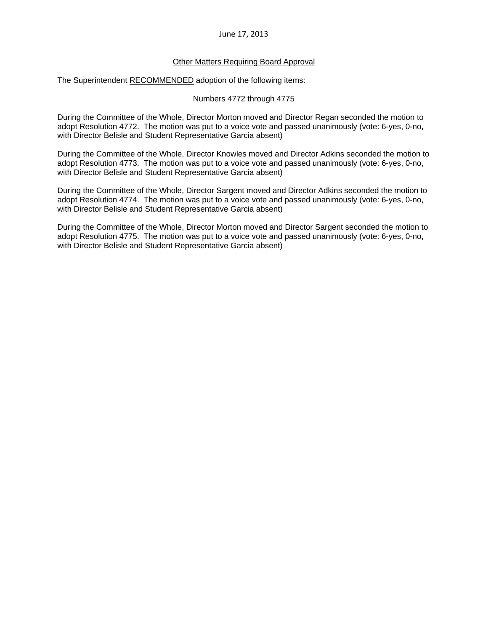### Other Matters Requiring Board Approval

The Superintendent RECOMMENDED adoption of the following items:

Numbers 4772 through 4775

During the Committee of the Whole, Director Morton moved and Director Regan seconded the motion to adopt Resolution 4772. The motion was put to a voice vote and passed unanimously (vote: 6-yes, 0-no, with Director Belisle and Student Representative Garcia absent)

During the Committee of the Whole, Director Knowles moved and Director Adkins seconded the motion to adopt Resolution 4773. The motion was put to a voice vote and passed unanimously (vote: 6-yes, 0-no, with Director Belisle and Student Representative Garcia absent)

During the Committee of the Whole, Director Sargent moved and Director Adkins seconded the motion to adopt Resolution 4774. The motion was put to a voice vote and passed unanimously (vote: 6-yes, 0-no, with Director Belisle and Student Representative Garcia absent)

During the Committee of the Whole, Director Morton moved and Director Sargent seconded the motion to adopt Resolution 4775. The motion was put to a voice vote and passed unanimously (vote: 6-yes, 0-no, with Director Belisle and Student Representative Garcia absent)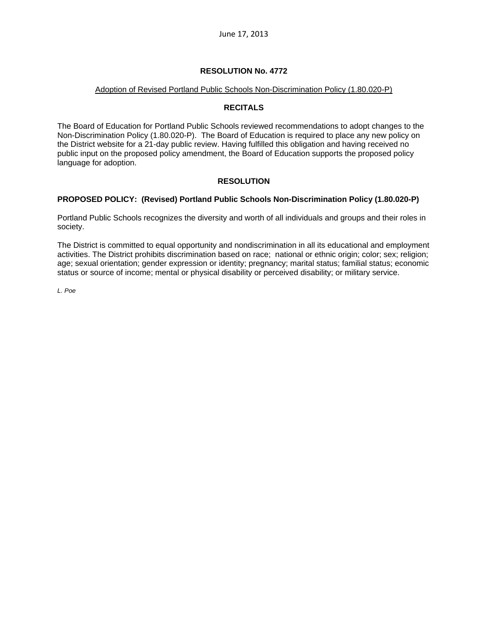#### Adoption of Revised Portland Public Schools Non-Discrimination Policy (1.80.020-P)

# **RECITALS**

The Board of Education for Portland Public Schools reviewed recommendations to adopt changes to the Non-Discrimination Policy (1.80.020-P). The Board of Education is required to place any new policy on the District website for a 21-day public review. Having fulfilled this obligation and having received no public input on the proposed policy amendment, the Board of Education supports the proposed policy language for adoption.

# **RESOLUTION**

# **PROPOSED POLICY: (Revised) Portland Public Schools Non-Discrimination Policy (1.80.020-P)**

Portland Public Schools recognizes the diversity and worth of all individuals and groups and their roles in society.

The District is committed to equal opportunity and nondiscrimination in all its educational and employment activities. The District prohibits discrimination based on race; national or ethnic origin; color; sex; religion; age; sexual orientation; gender expression or identity; pregnancy; marital status; familial status; economic status or source of income; mental or physical disability or perceived disability; or military service.

*L. Poe*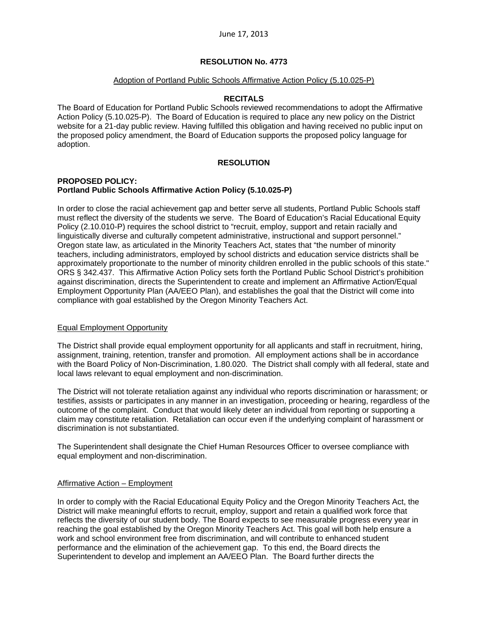#### Adoption of Portland Public Schools Affirmative Action Policy (5.10.025-P)

### **RECITALS**

The Board of Education for Portland Public Schools reviewed recommendations to adopt the Affirmative Action Policy (5.10.025-P). The Board of Education is required to place any new policy on the District website for a 21-day public review. Having fulfilled this obligation and having received no public input on the proposed policy amendment, the Board of Education supports the proposed policy language for adoption.

### **RESOLUTION**

#### **PROPOSED POLICY: Portland Public Schools Affirmative Action Policy (5.10.025-P)**

In order to close the racial achievement gap and better serve all students, Portland Public Schools staff must reflect the diversity of the students we serve. The Board of Education's Racial Educational Equity Policy (2.10.010-P) requires the school district to "recruit, employ, support and retain racially and linguistically diverse and culturally competent administrative, instructional and support personnel." Oregon state law, as articulated in the Minority Teachers Act, states that "the number of minority teachers, including administrators, employed by school districts and education service districts shall be approximately proportionate to the number of minority children enrolled in the public schools of this state." ORS § 342.437. This Affirmative Action Policy sets forth the Portland Public School District's prohibition against discrimination, directs the Superintendent to create and implement an Affirmative Action/Equal Employment Opportunity Plan (AA/EEO Plan), and establishes the goal that the District will come into compliance with goal established by the Oregon Minority Teachers Act.

#### Equal Employment Opportunity

The District shall provide equal employment opportunity for all applicants and staff in recruitment, hiring, assignment, training, retention, transfer and promotion. All employment actions shall be in accordance with the Board Policy of Non-Discrimination, 1.80.020. The District shall comply with all federal, state and local laws relevant to equal employment and non-discrimination.

The District will not tolerate retaliation against any individual who reports discrimination or harassment; or testifies, assists or participates in any manner in an investigation, proceeding or hearing, regardless of the outcome of the complaint. Conduct that would likely deter an individual from reporting or supporting a claim may constitute retaliation. Retaliation can occur even if the underlying complaint of harassment or discrimination is not substantiated.

The Superintendent shall designate the Chief Human Resources Officer to oversee compliance with equal employment and non-discrimination.

#### Affirmative Action – Employment

In order to comply with the Racial Educational Equity Policy and the Oregon Minority Teachers Act, the District will make meaningful efforts to recruit, employ, support and retain a qualified work force that reflects the diversity of our student body. The Board expects to see measurable progress every year in reaching the goal established by the Oregon Minority Teachers Act. This goal will both help ensure a work and school environment free from discrimination, and will contribute to enhanced student performance and the elimination of the achievement gap. To this end, the Board directs the Superintendent to develop and implement an AA/EEO Plan. The Board further directs the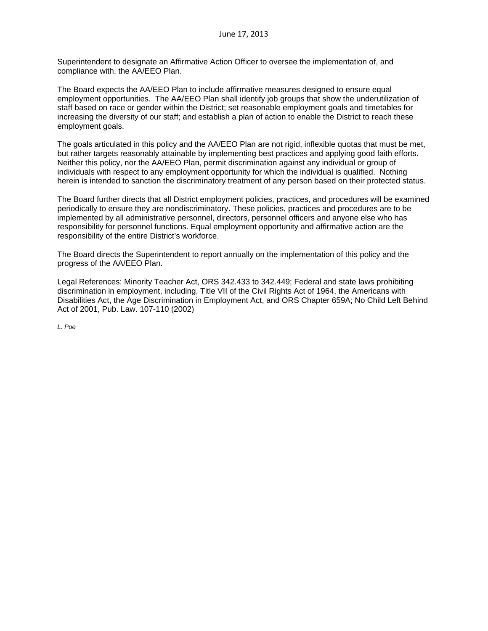Superintendent to designate an Affirmative Action Officer to oversee the implementation of, and compliance with, the AA/EEO Plan.

The Board expects the AA/EEO Plan to include affirmative measures designed to ensure equal employment opportunities. The AA/EEO Plan shall identify job groups that show the underutilization of staff based on race or gender within the District; set reasonable employment goals and timetables for increasing the diversity of our staff; and establish a plan of action to enable the District to reach these employment goals.

The goals articulated in this policy and the AA/EEO Plan are not rigid, inflexible quotas that must be met, but rather targets reasonably attainable by implementing best practices and applying good faith efforts. Neither this policy, nor the AA/EEO Plan, permit discrimination against any individual or group of individuals with respect to any employment opportunity for which the individual is qualified. Nothing herein is intended to sanction the discriminatory treatment of any person based on their protected status.

The Board further directs that all District employment policies, practices, and procedures will be examined periodically to ensure they are nondiscriminatory. These policies, practices and procedures are to be implemented by all administrative personnel, directors, personnel officers and anyone else who has responsibility for personnel functions. Equal employment opportunity and affirmative action are the responsibility of the entire District's workforce.

The Board directs the Superintendent to report annually on the implementation of this policy and the progress of the AA/EEO Plan.

Legal References: Minority Teacher Act, ORS 342.433 to 342.449; Federal and state laws prohibiting discrimination in employment, including, Title VII of the Civil Rights Act of 1964, the Americans with Disabilities Act, the Age Discrimination in Employment Act, and ORS Chapter 659A; No Child Left Behind Act of 2001, Pub. Law. 107-110 (2002)

*L. Poe*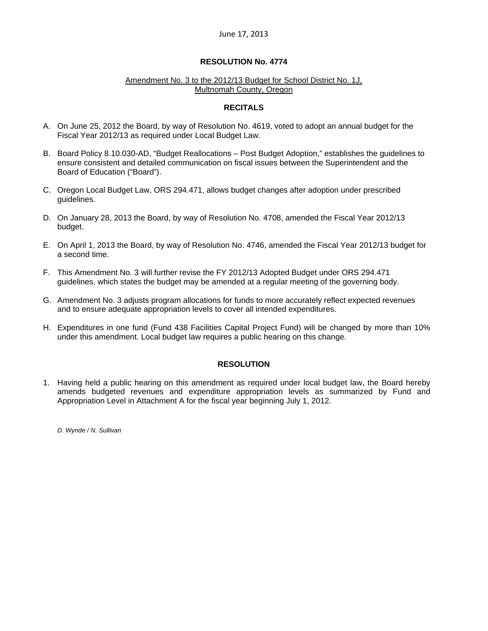### **RESOLUTION No. 4774**

#### Amendment No. 3 to the 2012/13 Budget for School District No. 1J, Multnomah County, Oregon

### **RECITALS**

- A. On June 25, 2012 the Board, by way of Resolution No. 4619, voted to adopt an annual budget for the Fiscal Year 2012/13 as required under Local Budget Law.
- B. Board Policy 8.10.030-AD, "Budget Reallocations Post Budget Adoption," establishes the guidelines to ensure consistent and detailed communication on fiscal issues between the Superintendent and the Board of Education ("Board").
- C. Oregon Local Budget Law, ORS 294.471, allows budget changes after adoption under prescribed guidelines.
- D. On January 28, 2013 the Board, by way of Resolution No. 4708, amended the Fiscal Year 2012/13 budget.
- E. On April 1, 2013 the Board, by way of Resolution No. 4746, amended the Fiscal Year 2012/13 budget for a second time.
- F. This Amendment No. 3 will further revise the FY 2012/13 Adopted Budget under ORS 294.471 guidelines, which states the budget may be amended at a regular meeting of the governing body.
- G. Amendment No. 3 adjusts program allocations for funds to more accurately reflect expected revenues and to ensure adequate appropriation levels to cover all intended expenditures.
- H. Expenditures in one fund (Fund 438 Facilities Capital Project Fund) will be changed by more than 10% under this amendment. Local budget law requires a public hearing on this change.

# **RESOLUTION**

1. Having held a public hearing on this amendment as required under local budget law, the Board hereby amends budgeted revenues and expenditure appropriation levels as summarized by Fund and Appropriation Level in Attachment A for the fiscal year beginning July 1, 2012.

*D. Wynde / N. Sullivan*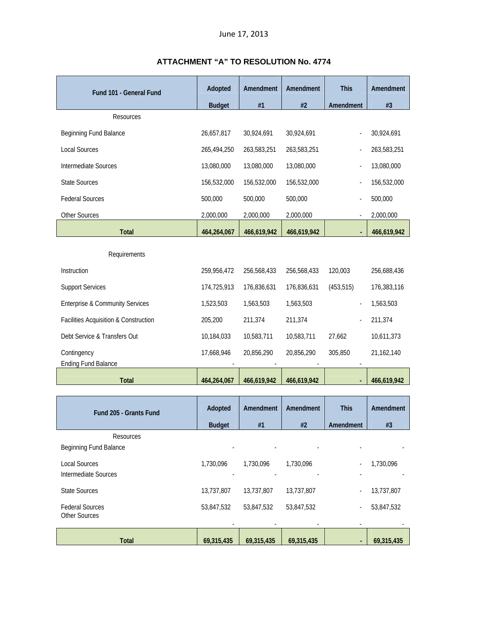| Fund 101 - General Fund                    | Adopted        | Amendment   | Amendment   | <b>This</b> | Amendment   |
|--------------------------------------------|----------------|-------------|-------------|-------------|-------------|
|                                            | <b>Budget</b>  | #1          | #2          | Amendment   | #3          |
| Resources                                  |                |             |             |             |             |
| Beginning Fund Balance                     | 26,657,817     | 30,924,691  | 30,924,691  |             | 30,924,691  |
| <b>Local Sources</b>                       | 265,494,250    | 263,583,251 | 263,583,251 |             | 263,583,251 |
| Intermediate Sources                       | 13,080,000     | 13,080,000  | 13,080,000  |             | 13,080,000  |
| <b>State Sources</b>                       | 156,532,000    | 156,532,000 | 156,532,000 |             | 156,532,000 |
| <b>Federal Sources</b>                     | 500,000        | 500,000     | 500,000     |             | 500,000     |
| Other Sources                              | 2,000,000      | 2,000,000   | 2,000,000   |             | 2,000,000   |
| <b>Total</b>                               | 464,264,067    | 466,619,942 | 466,619,942 |             | 466,619,942 |
| Requirements                               |                |             |             |             |             |
| Instruction                                | 259,956,472    | 256,568,433 | 256,568,433 | 120,003     | 256,688,436 |
| <b>Support Services</b>                    | 174,725,913    | 176,836,631 | 176,836,631 | (453, 515)  | 176,383,116 |
| <b>Enterprise &amp; Community Services</b> | 1,523,503      | 1,563,503   | 1,563,503   |             | 1,563,503   |
| Facilities Acquisition & Construction      | 205,200        | 211,374     | 211,374     |             | 211,374     |
| Debt Service & Transfers Out               | 10,184,033     | 10,583,711  | 10,583,711  | 27,662      | 10,611,373  |
| Contingency<br><b>Ending Fund Balance</b>  | 17,668,946     | 20,856,290  | 20,856,290  | 305,850     | 21,162,140  |
| Total                                      | 464,264,067    | 466,619,942 | 466,619,942 |             | 466,619,942 |
|                                            |                |             |             |             |             |
|                                            | <b>Adontod</b> |             |             |             |             |

# **ATTACHMENT "A" TO RESOLUTION No. 4774**

| Fund 205 - Grants Fund                         | Adopted       | Amendment  | Amendment  | <b>This</b> | Amendment  |
|------------------------------------------------|---------------|------------|------------|-------------|------------|
|                                                | <b>Budget</b> | #1         | #2         | Amendment   | #3         |
| <b>Resources</b><br>Beginning Fund Balance     |               |            |            |             |            |
| <b>Local Sources</b><br>Intermediate Sources   | 1.730.096     | 1,730,096  | 1.730.096  |             | 1,730,096  |
| <b>State Sources</b>                           | 13,737,807    | 13,737,807 | 13,737,807 | ٠           | 13,737,807 |
| <b>Federal Sources</b><br><b>Other Sources</b> | 53,847,532    | 53,847,532 | 53,847,532 | ٠           | 53,847,532 |
| <b>Total</b>                                   | 69,315,435    | 69,315,435 | 69,315,435 | $\sim$      | 69,315,435 |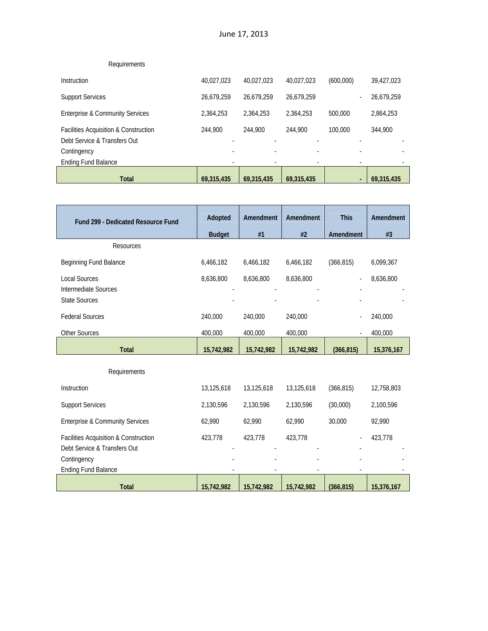| <b>Total</b>                               | 69,315,435 | 69,315,435 | 69.315.435 | $\blacksquare$ | 69.315.435 |
|--------------------------------------------|------------|------------|------------|----------------|------------|
| <b>Ending Fund Balance</b>                 |            |            | ۰          |                |            |
| Contingency                                |            |            |            |                |            |
| Debt Service & Transfers Out               |            |            |            |                |            |
| Facilities Acquisition & Construction      | 244,900    | 244.900    | 244,900    | 100,000        | 344,900    |
| <b>Enterprise &amp; Community Services</b> | 2,364,253  | 2,364,253  | 2,364,253  | 500,000        | 2,864,253  |
| <b>Support Services</b>                    | 26,679,259 | 26.679.259 | 26.679.259 |                | 26,679,259 |
| Instruction                                | 40.027.023 | 40.027.023 | 40.027.023 | (600,000)      | 39,427,023 |
| Requirements                               |            |            |            |                |            |

| <b>Fund 299 - Dedicated Resource Fund</b>  | Adopted       | Amendment  | Amendment  | <b>This</b> | Amendment  |
|--------------------------------------------|---------------|------------|------------|-------------|------------|
|                                            | <b>Budget</b> | #1         | #2         | Amendment   | #3         |
| Resources                                  |               |            |            |             |            |
| Beginning Fund Balance                     | 6,466,182     | 6,466,182  | 6,466,182  | (366, 815)  | 6,099,367  |
| <b>Local Sources</b>                       | 8,636,800     | 8,636,800  | 8,636,800  |             | 8,636,800  |
| <b>Intermediate Sources</b>                |               |            |            |             |            |
| <b>State Sources</b>                       |               |            |            |             |            |
| <b>Federal Sources</b>                     | 240,000       | 240,000    | 240,000    |             | 240,000    |
| Other Sources                              | 400,000       | 400,000    | 400,000    |             | 400,000    |
| <b>Total</b>                               | 15,742,982    | 15,742,982 | 15,742,982 | (366, 815)  | 15,376,167 |
| Requirements                               |               |            |            |             |            |
| Instruction                                |               |            |            |             |            |
|                                            | 13,125,618    | 13,125,618 | 13,125,618 | (366, 815)  | 12,758,803 |
| <b>Support Services</b>                    | 2,130,596     | 2,130,596  | 2,130,596  | (30,000)    | 2,100,596  |
| <b>Enterprise &amp; Community Services</b> | 62,990        | 62,990     | 62,990     | 30,000      | 92,990     |
| Facilities Acquisition & Construction      | 423,778       | 423,778    | 423,778    |             | 423,778    |
| Debt Service & Transfers Out               |               |            |            |             |            |
| Contingency<br><b>Ending Fund Balance</b>  |               |            |            |             |            |
|                                            |               |            |            |             |            |
| <b>Total</b>                               | 15,742,982    | 15,742,982 | 15,742,982 | (366, 815)  | 15,376,167 |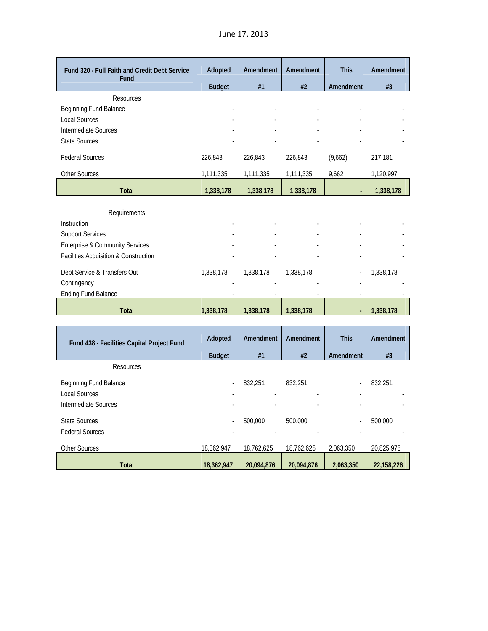| Fund 320 - Full Faith and Credit Debt Service<br>Fund | Adopted       | Amendment                | Amendment                | <b>This</b> | Amendment |
|-------------------------------------------------------|---------------|--------------------------|--------------------------|-------------|-----------|
|                                                       | <b>Budget</b> | #1                       | #2                       | Amendment   | #3        |
| Resources                                             |               |                          |                          |             |           |
| Beginning Fund Balance                                |               | $\overline{a}$           | $\overline{\phantom{a}}$ | ٠           |           |
| <b>Local Sources</b>                                  | ٠             | $\overline{\phantom{a}}$ | ٠                        | ٠           |           |
| Intermediate Sources                                  |               | ٠                        | $\overline{\phantom{a}}$ | ٠           |           |
| <b>State Sources</b>                                  |               | ٠                        |                          |             |           |
| <b>Federal Sources</b>                                | 226.843       | 226.843                  | 226.843                  | (9,662)     | 217.181   |
| <b>Other Sources</b>                                  | 1,111,335     | 1,111,335                | 1,111,335                | 9,662       | 1,120,997 |
| <b>Total</b>                                          | 1,338,178     | 1,338,178                | 1,338,178                | $\sim$      | 1,338,178 |

| Requirements                               |           |           |           |   |           |
|--------------------------------------------|-----------|-----------|-----------|---|-----------|
| <b>Instruction</b>                         |           | ۰         | ۰         |   |           |
| <b>Support Services</b>                    |           |           |           |   |           |
| <b>Enterprise &amp; Community Services</b> | ۰         | ۰         |           | ۰ |           |
| Facilities Acquisition & Construction      |           |           |           |   |           |
| Debt Service & Transfers Out               | 1,338,178 | 1,338,178 | 1,338,178 |   | 1,338,178 |
| Contingency                                |           |           |           |   |           |
| <b>Ending Fund Balance</b>                 | ۰         |           | ۰         |   |           |
| <b>Total</b>                               | 1,338,178 | 1,338,178 | 1,338,178 | ۰ | 1,338,178 |

| Fund 438 - Facilities Capital Project Fund                             | Adopted       | Amendment    | Amendment                           | <b>This</b> | Amendment  |
|------------------------------------------------------------------------|---------------|--------------|-------------------------------------|-------------|------------|
|                                                                        | <b>Budget</b> | #1           | #2                                  | Amendment   | #3         |
| Resources                                                              |               |              |                                     |             |            |
| Beginning Fund Balance<br><b>Local Sources</b><br>Intermediate Sources | ٠             | 832,251<br>٠ | 832,251<br>$\overline{\phantom{a}}$ |             | 832,251    |
| State Sources<br><b>Federal Sources</b>                                | ٠             | 500,000      | 500,000                             |             | 500,000    |
| <b>Other Sources</b>                                                   | 18,362,947    | 18,762,625   | 18,762,625                          | 2,063,350   | 20,825,975 |
| <b>Total</b>                                                           | 18,362,947    | 20,094,876   | 20,094,876                          | 2,063,350   | 22,158,226 |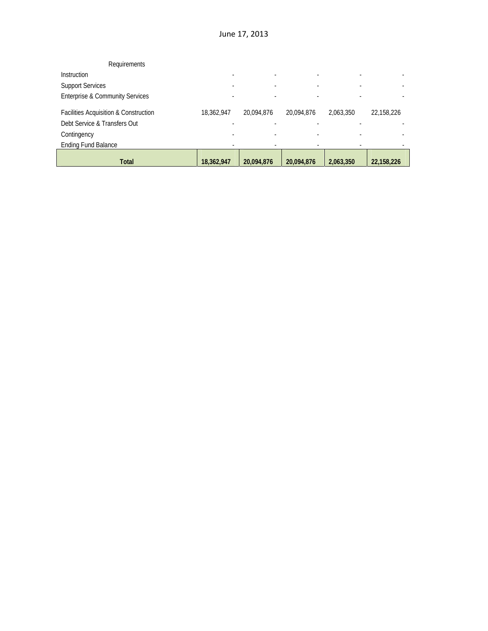| Requirements                               |            |            |            |           |            |
|--------------------------------------------|------------|------------|------------|-----------|------------|
| <b>Instruction</b>                         |            |            |            |           |            |
| <b>Support Services</b>                    |            |            |            |           |            |
| <b>Enterprise &amp; Community Services</b> |            |            |            |           |            |
| Facilities Acquisition & Construction      | 18,362,947 | 20,094,876 | 20.094.876 | 2,063,350 | 22,158,226 |
| Debt Service & Transfers Out               |            |            |            |           |            |
| Contingency                                |            |            |            |           |            |
| <b>Ending Fund Balance</b>                 |            |            |            |           |            |
| <b>Total</b>                               | 18,362,947 | 20,094,876 | 20,094,876 | 2,063,350 | 22,158,226 |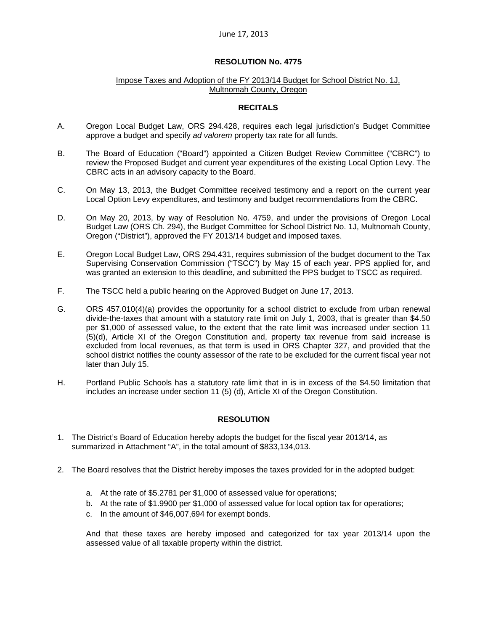#### **RESOLUTION No. 4775**

#### Impose Taxes and Adoption of the FY 2013/14 Budget for School District No. 1J, Multnomah County, Oregon

# **RECITALS**

- A. Oregon Local Budget Law, ORS 294.428, requires each legal jurisdiction's Budget Committee approve a budget and specify *ad valorem* property tax rate for all funds.
- B. The Board of Education ("Board") appointed a Citizen Budget Review Committee ("CBRC") to review the Proposed Budget and current year expenditures of the existing Local Option Levy. The CBRC acts in an advisory capacity to the Board.
- C. On May 13, 2013, the Budget Committee received testimony and a report on the current year Local Option Levy expenditures, and testimony and budget recommendations from the CBRC.
- D. On May 20, 2013, by way of Resolution No. 4759, and under the provisions of Oregon Local Budget Law (ORS Ch. 294), the Budget Committee for School District No. 1J, Multnomah County, Oregon ("District"), approved the FY 2013/14 budget and imposed taxes.
- E. Oregon Local Budget Law, ORS 294.431, requires submission of the budget document to the Tax Supervising Conservation Commission ("TSCC") by May 15 of each year. PPS applied for, and was granted an extension to this deadline, and submitted the PPS budget to TSCC as required.
- F. The TSCC held a public hearing on the Approved Budget on June 17, 2013.
- G. ORS 457.010(4)(a) provides the opportunity for a school district to exclude from urban renewal divide-the-taxes that amount with a statutory rate limit on July 1, 2003, that is greater than \$4.50 per \$1,000 of assessed value, to the extent that the rate limit was increased under section 11 (5)(d), Article XI of the Oregon Constitution and, property tax revenue from said increase is excluded from local revenues, as that term is used in ORS Chapter 327, and provided that the school district notifies the county assessor of the rate to be excluded for the current fiscal year not later than July 15.
- H. Portland Public Schools has a statutory rate limit that in is in excess of the \$4.50 limitation that includes an increase under section 11 (5) (d), Article XI of the Oregon Constitution.

#### **RESOLUTION**

- 1. The District's Board of Education hereby adopts the budget for the fiscal year 2013/14, as summarized in Attachment "A", in the total amount of \$833,134,013.
- 2. The Board resolves that the District hereby imposes the taxes provided for in the adopted budget:
	- a. At the rate of \$5.2781 per \$1,000 of assessed value for operations;
	- b. At the rate of \$1.9900 per \$1,000 of assessed value for local option tax for operations;
	- c. In the amount of \$46,007,694 for exempt bonds.

And that these taxes are hereby imposed and categorized for tax year 2013/14 upon the assessed value of all taxable property within the district.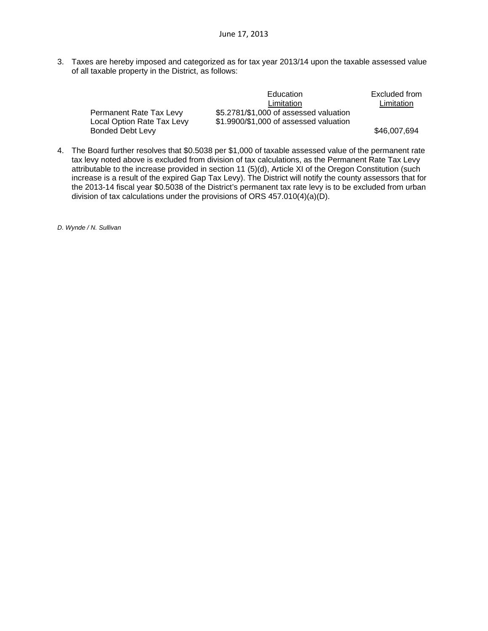3. Taxes are hereby imposed and categorized as for tax year 2013/14 upon the taxable assessed value of all taxable property in the District, as follows:

|                            | Education                              | Excluded from |
|----------------------------|----------------------------------------|---------------|
|                            | Limitation                             | Limitation    |
| Permanent Rate Tax Levy    | \$5.2781/\$1,000 of assessed valuation |               |
| Local Option Rate Tax Levy | \$1.9900/\$1,000 of assessed valuation |               |
| <b>Bonded Debt Levy</b>    |                                        | \$46,007,694  |

4. The Board further resolves that \$0.5038 per \$1,000 of taxable assessed value of the permanent rate tax levy noted above is excluded from division of tax calculations, as the Permanent Rate Tax Levy attributable to the increase provided in section 11 (5)(d), Article XI of the Oregon Constitution (such increase is a result of the expired Gap Tax Levy). The District will notify the county assessors that for the 2013-14 fiscal year \$0.5038 of the District's permanent tax rate levy is to be excluded from urban division of tax calculations under the provisions of ORS 457.010(4)(a)(D).

*D. Wynde / N. Sullivan*